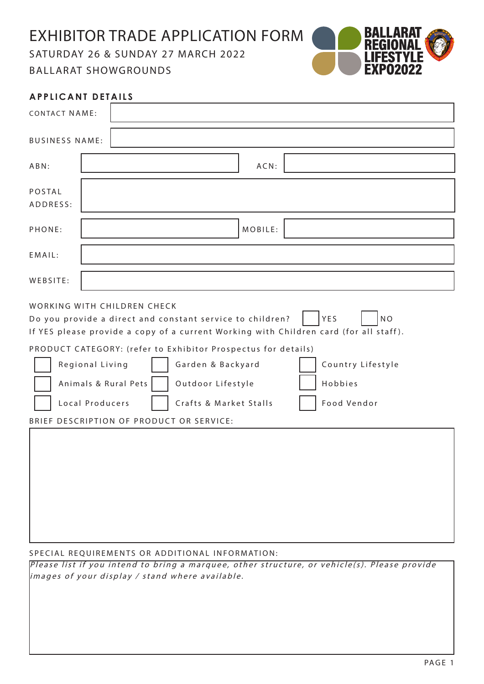EXHIBITOR TRADE APPLICATION FORM

SATURDAY 26 & SUNDAY 27 MARCH 2022 BALLARAT SHOWGROUNDS



| <b>APPLICANT DETAILS</b>                                                                                                                                                                                                                                                                                                                                                                                                                                                                            |  |
|-----------------------------------------------------------------------------------------------------------------------------------------------------------------------------------------------------------------------------------------------------------------------------------------------------------------------------------------------------------------------------------------------------------------------------------------------------------------------------------------------------|--|
| <b>CONTACT NAME:</b>                                                                                                                                                                                                                                                                                                                                                                                                                                                                                |  |
| <b>BUSINESS NAME:</b>                                                                                                                                                                                                                                                                                                                                                                                                                                                                               |  |
| $ACN$ :<br>ABN:                                                                                                                                                                                                                                                                                                                                                                                                                                                                                     |  |
| <b>POSTAL</b><br>ADDRESS:                                                                                                                                                                                                                                                                                                                                                                                                                                                                           |  |
| MOBILE:<br>PHONE:                                                                                                                                                                                                                                                                                                                                                                                                                                                                                   |  |
| EMAIL:                                                                                                                                                                                                                                                                                                                                                                                                                                                                                              |  |
| WEBSITE:                                                                                                                                                                                                                                                                                                                                                                                                                                                                                            |  |
| WORKING WITH CHILDREN CHECK<br>YES<br><b>NO</b><br>Do you provide a direct and constant service to children?<br>If YES please provide a copy of a current Working with Children card (for all staff).<br>PRODUCT CATEGORY: (refer to Exhibitor Prospectus for details)<br>Country Lifestyle<br>Regional Living<br>Garden & Backyard<br>Animals & Rural Pets<br>Outdoor Lifestyle<br>Hobbies<br>Local Producers<br>Crafts & Market Stalls<br>Food Vendor<br>BRIEF DESCRIPTION OF PRODUCT OR SERVICE: |  |
|                                                                                                                                                                                                                                                                                                                                                                                                                                                                                                     |  |

SPECIAL REQUIREMENTS OR ADDITIONAL INFORMATION:

Please list if you intend to bring a marquee, other structure, or vehicle(s). Please provide  $\vert$ images of your display / stand where available.